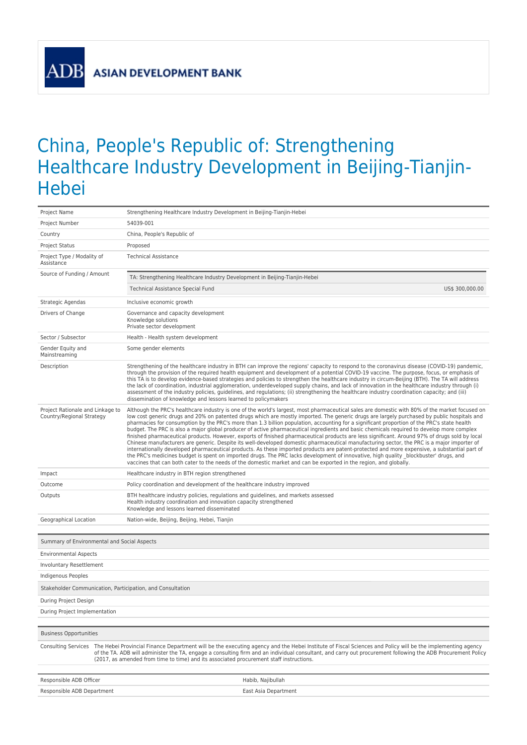**ADF** 

## China, People's Republic of: Strengthening Healthcare Industry Development in Beijing-Tianjin-Hebei

| Project Name                                                                                                                                                                                                                                                                                                                                                                                                                              | Strengthening Healthcare Industry Development in Beijing-Tianjin-Hebei                                                                                                                                                                                                                                                                                                                                                                                                                                                                                                                                                                                                                                                                                                                                                                                                                                                                                                                                                                                                                                                                                                                                                                                                                                 |  |
|-------------------------------------------------------------------------------------------------------------------------------------------------------------------------------------------------------------------------------------------------------------------------------------------------------------------------------------------------------------------------------------------------------------------------------------------|--------------------------------------------------------------------------------------------------------------------------------------------------------------------------------------------------------------------------------------------------------------------------------------------------------------------------------------------------------------------------------------------------------------------------------------------------------------------------------------------------------------------------------------------------------------------------------------------------------------------------------------------------------------------------------------------------------------------------------------------------------------------------------------------------------------------------------------------------------------------------------------------------------------------------------------------------------------------------------------------------------------------------------------------------------------------------------------------------------------------------------------------------------------------------------------------------------------------------------------------------------------------------------------------------------|--|
| Project Number                                                                                                                                                                                                                                                                                                                                                                                                                            | 54039-001                                                                                                                                                                                                                                                                                                                                                                                                                                                                                                                                                                                                                                                                                                                                                                                                                                                                                                                                                                                                                                                                                                                                                                                                                                                                                              |  |
| Country                                                                                                                                                                                                                                                                                                                                                                                                                                   | China, People's Republic of                                                                                                                                                                                                                                                                                                                                                                                                                                                                                                                                                                                                                                                                                                                                                                                                                                                                                                                                                                                                                                                                                                                                                                                                                                                                            |  |
| <b>Project Status</b>                                                                                                                                                                                                                                                                                                                                                                                                                     | Proposed                                                                                                                                                                                                                                                                                                                                                                                                                                                                                                                                                                                                                                                                                                                                                                                                                                                                                                                                                                                                                                                                                                                                                                                                                                                                                               |  |
| Project Type / Modality of<br>Assistance                                                                                                                                                                                                                                                                                                                                                                                                  | <b>Technical Assistance</b>                                                                                                                                                                                                                                                                                                                                                                                                                                                                                                                                                                                                                                                                                                                                                                                                                                                                                                                                                                                                                                                                                                                                                                                                                                                                            |  |
| Source of Funding / Amount                                                                                                                                                                                                                                                                                                                                                                                                                | TA: Strengthening Healthcare Industry Development in Beijing-Tianjin-Hebei                                                                                                                                                                                                                                                                                                                                                                                                                                                                                                                                                                                                                                                                                                                                                                                                                                                                                                                                                                                                                                                                                                                                                                                                                             |  |
|                                                                                                                                                                                                                                                                                                                                                                                                                                           | Technical Assistance Special Fund<br>US\$ 300,000.00                                                                                                                                                                                                                                                                                                                                                                                                                                                                                                                                                                                                                                                                                                                                                                                                                                                                                                                                                                                                                                                                                                                                                                                                                                                   |  |
| Strategic Agendas                                                                                                                                                                                                                                                                                                                                                                                                                         | Inclusive economic growth                                                                                                                                                                                                                                                                                                                                                                                                                                                                                                                                                                                                                                                                                                                                                                                                                                                                                                                                                                                                                                                                                                                                                                                                                                                                              |  |
| Drivers of Change                                                                                                                                                                                                                                                                                                                                                                                                                         | Governance and capacity development<br>Knowledge solutions<br>Private sector development                                                                                                                                                                                                                                                                                                                                                                                                                                                                                                                                                                                                                                                                                                                                                                                                                                                                                                                                                                                                                                                                                                                                                                                                               |  |
| Sector / Subsector                                                                                                                                                                                                                                                                                                                                                                                                                        | Health - Health system development                                                                                                                                                                                                                                                                                                                                                                                                                                                                                                                                                                                                                                                                                                                                                                                                                                                                                                                                                                                                                                                                                                                                                                                                                                                                     |  |
| Gender Equity and<br>Mainstreaming                                                                                                                                                                                                                                                                                                                                                                                                        | Some gender elements                                                                                                                                                                                                                                                                                                                                                                                                                                                                                                                                                                                                                                                                                                                                                                                                                                                                                                                                                                                                                                                                                                                                                                                                                                                                                   |  |
| Description                                                                                                                                                                                                                                                                                                                                                                                                                               | Strengthening of the healthcare industry in BTH can improve the regions' capacity to respond to the coronavirus disease (COVID-19) pandemic,<br>through the provision of the required health equipment and development of a potential COVID-19 vaccine. The purpose, focus, or emphasis of<br>this TA is to develop evidence-based strategies and policies to strengthen the healthcare industry in circum-Beijing (BTH). The TA will address<br>the lack of coordination, industrial agglomeration, underdeveloped supply chains, and lack of innovation in the healthcare industry through (i)<br>assessment of the industry policies, guidelines, and regulations; (ii) strengthening the healthcare industry coordination capacity; and (iii)<br>dissemination of knowledge and lessons learned to policymakers                                                                                                                                                                                                                                                                                                                                                                                                                                                                                    |  |
| Project Rationale and Linkage to<br>Country/Regional Strategy                                                                                                                                                                                                                                                                                                                                                                             | Although the PRC's healthcare industry is one of the world's largest, most pharmaceutical sales are domestic with 80% of the market focused on<br>low cost generic drugs and 20% on patented drugs which are mostly imported. The generic drugs are largely purchased by public hospitals and<br>pharmacies for consumption by the PRC's more than 1.3 billion population, accounting for a significant proportion of the PRC's state health<br>budget. The PRC is also a major global producer of active pharmaceutical ingredients and basic chemicals required to develop more complex<br>finished pharmaceutical products. However, exports of finished pharmaceutical products are less significant. Around 97% of drugs sold by local<br>Chinese manufacturers are generic. Despite its well-developed domestic pharmaceutical manufacturing sector, the PRC is a major importer of<br>internationally developed pharmaceutical products. As these imported products are patent-protected and more expensive, a substantial part of<br>the PRC's medicines budget is spent on imported drugs. The PRC lacks development of innovative, high quality blockbuster' drugs, and<br>vaccines that can both cater to the needs of the domestic market and can be exported in the region, and globally. |  |
| Impact                                                                                                                                                                                                                                                                                                                                                                                                                                    | Healthcare industry in BTH region strengthened                                                                                                                                                                                                                                                                                                                                                                                                                                                                                                                                                                                                                                                                                                                                                                                                                                                                                                                                                                                                                                                                                                                                                                                                                                                         |  |
| Outcome                                                                                                                                                                                                                                                                                                                                                                                                                                   | Policy coordination and development of the healthcare industry improved                                                                                                                                                                                                                                                                                                                                                                                                                                                                                                                                                                                                                                                                                                                                                                                                                                                                                                                                                                                                                                                                                                                                                                                                                                |  |
| Outputs                                                                                                                                                                                                                                                                                                                                                                                                                                   | BTH healthcare industry policies, regulations and guidelines, and markets assessed<br>Health industry coordination and innovation capacity strengthened<br>Knowledge and lessons learned disseminated                                                                                                                                                                                                                                                                                                                                                                                                                                                                                                                                                                                                                                                                                                                                                                                                                                                                                                                                                                                                                                                                                                  |  |
| Geographical Location                                                                                                                                                                                                                                                                                                                                                                                                                     | Nation-wide, Beijing, Beijing, Hebei, Tianjin                                                                                                                                                                                                                                                                                                                                                                                                                                                                                                                                                                                                                                                                                                                                                                                                                                                                                                                                                                                                                                                                                                                                                                                                                                                          |  |
|                                                                                                                                                                                                                                                                                                                                                                                                                                           |                                                                                                                                                                                                                                                                                                                                                                                                                                                                                                                                                                                                                                                                                                                                                                                                                                                                                                                                                                                                                                                                                                                                                                                                                                                                                                        |  |
| Summary of Environmental and Social Aspects                                                                                                                                                                                                                                                                                                                                                                                               |                                                                                                                                                                                                                                                                                                                                                                                                                                                                                                                                                                                                                                                                                                                                                                                                                                                                                                                                                                                                                                                                                                                                                                                                                                                                                                        |  |
| <b>Environmental Aspects</b>                                                                                                                                                                                                                                                                                                                                                                                                              |                                                                                                                                                                                                                                                                                                                                                                                                                                                                                                                                                                                                                                                                                                                                                                                                                                                                                                                                                                                                                                                                                                                                                                                                                                                                                                        |  |
| Involuntary Resettlement                                                                                                                                                                                                                                                                                                                                                                                                                  |                                                                                                                                                                                                                                                                                                                                                                                                                                                                                                                                                                                                                                                                                                                                                                                                                                                                                                                                                                                                                                                                                                                                                                                                                                                                                                        |  |
| Indigenous Peoples                                                                                                                                                                                                                                                                                                                                                                                                                        |                                                                                                                                                                                                                                                                                                                                                                                                                                                                                                                                                                                                                                                                                                                                                                                                                                                                                                                                                                                                                                                                                                                                                                                                                                                                                                        |  |
| Stakeholder Communication, Participation, and Consultation                                                                                                                                                                                                                                                                                                                                                                                |                                                                                                                                                                                                                                                                                                                                                                                                                                                                                                                                                                                                                                                                                                                                                                                                                                                                                                                                                                                                                                                                                                                                                                                                                                                                                                        |  |
| During Project Design                                                                                                                                                                                                                                                                                                                                                                                                                     |                                                                                                                                                                                                                                                                                                                                                                                                                                                                                                                                                                                                                                                                                                                                                                                                                                                                                                                                                                                                                                                                                                                                                                                                                                                                                                        |  |
| During Project Implementation                                                                                                                                                                                                                                                                                                                                                                                                             |                                                                                                                                                                                                                                                                                                                                                                                                                                                                                                                                                                                                                                                                                                                                                                                                                                                                                                                                                                                                                                                                                                                                                                                                                                                                                                        |  |
|                                                                                                                                                                                                                                                                                                                                                                                                                                           |                                                                                                                                                                                                                                                                                                                                                                                                                                                                                                                                                                                                                                                                                                                                                                                                                                                                                                                                                                                                                                                                                                                                                                                                                                                                                                        |  |
| <b>Business Opportunities</b>                                                                                                                                                                                                                                                                                                                                                                                                             |                                                                                                                                                                                                                                                                                                                                                                                                                                                                                                                                                                                                                                                                                                                                                                                                                                                                                                                                                                                                                                                                                                                                                                                                                                                                                                        |  |
| Consulting Services The Hebei Provincial Finance Department will be the executing agency and the Hebei Institute of Fiscal Sciences and Policy will be the implementing agency<br>of the TA. ADB will administer the TA, engage a consulting firm and an individual consultant, and carry out procurement following the ADB Procurement Policy<br>(2017, as amended from time to time) and its associated procurement staff instructions. |                                                                                                                                                                                                                                                                                                                                                                                                                                                                                                                                                                                                                                                                                                                                                                                                                                                                                                                                                                                                                                                                                                                                                                                                                                                                                                        |  |
| Responsible ADB Officer                                                                                                                                                                                                                                                                                                                                                                                                                   | Habib, Najibullah                                                                                                                                                                                                                                                                                                                                                                                                                                                                                                                                                                                                                                                                                                                                                                                                                                                                                                                                                                                                                                                                                                                                                                                                                                                                                      |  |
| Responsible ADB Department                                                                                                                                                                                                                                                                                                                                                                                                                | East Asia Department                                                                                                                                                                                                                                                                                                                                                                                                                                                                                                                                                                                                                                                                                                                                                                                                                                                                                                                                                                                                                                                                                                                                                                                                                                                                                   |  |
|                                                                                                                                                                                                                                                                                                                                                                                                                                           |                                                                                                                                                                                                                                                                                                                                                                                                                                                                                                                                                                                                                                                                                                                                                                                                                                                                                                                                                                                                                                                                                                                                                                                                                                                                                                        |  |